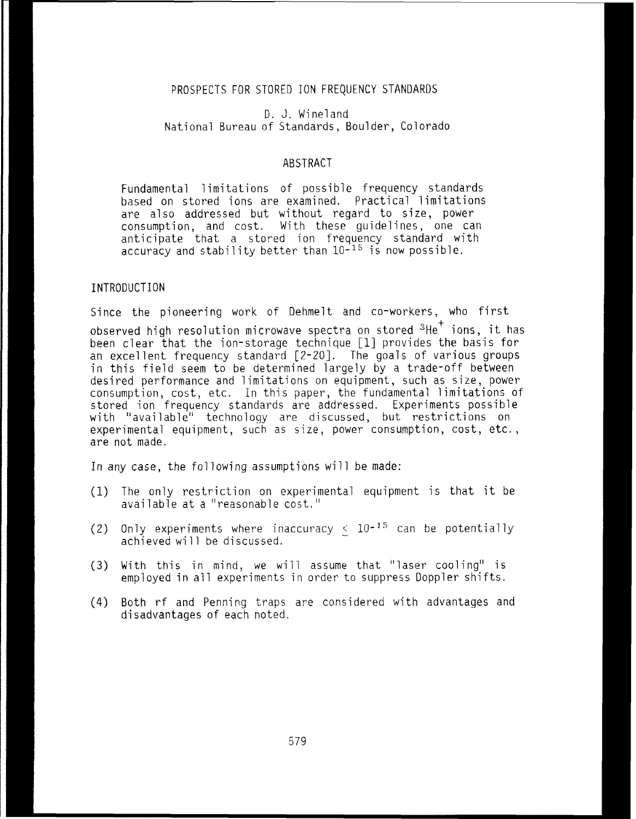# PROSPECTS FOR STORED ION FREQUENCY STANDARDS

D. J. Wineland National Bureau of Standards, Boulder, Colorado

## ABSTRACT

Fundamental limitations of possible frequency standards based on stored ions are examined. Practical limitations are also addressed but without regard to size, power consumption, and cost. With these guide1 ines, one can anticipate that a stored ion frequency standard with accuracy and stability better than  $10^{-15}$  is now possible.

## INTRODUCTION

Since the pioneering work of Dehmelt and co-workers, who first observed high resolution microwave spectra on stored <sup>3</sup>He<sup>+</sup> ions, it has been clear that the ion-storage technique [I] provides the basis for an excellent frequency standard [2-201. The goals of various groups in this field seem to be determined largely by a trade-off between desired performance and limitations on equipment, such as size, power consumption, cost, etc. In this paper, the fundamental limitations of stored ion frequency standards are addressed. Experiments possible with "available" technology are discussed, but restrictions on experimental equipment, such as size, power consumption, cost, etc., are not made.

In any case, the following assumptions will be made:

- (1) The only restriction on experimental equipment is that it be available at a "reasonable cost."
- (2) Only experiments where inaccuracy  $\leq 10^{-15}$  can be potentially achieved will be discussed.
- (3) With this in mind, we will assume that "laser cooling" is employed in all experiments in order to suppress Doppler shifts.
- (4) Both rf and Penning traps are considered with advantages and disadvantages of each noted.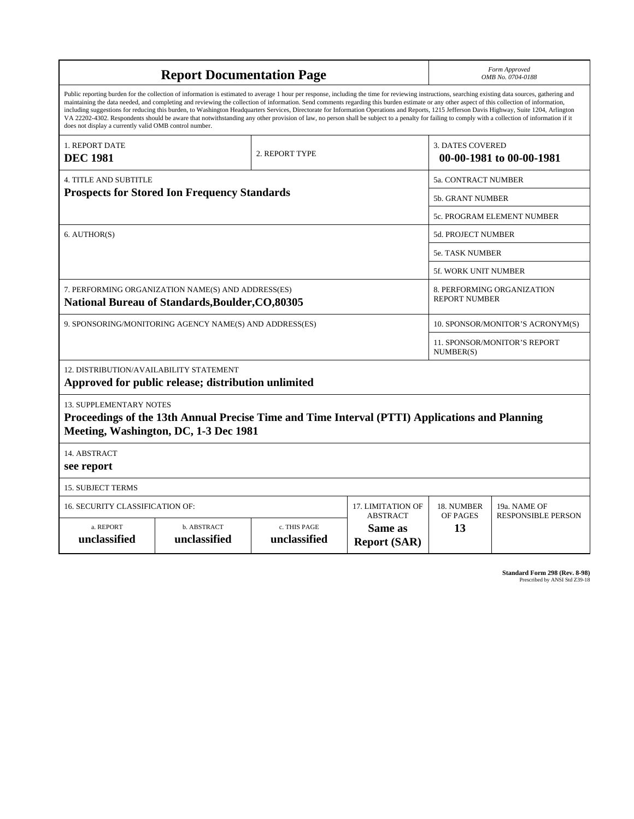| <b>Report Documentation Page</b>                                                                       |                                                                                                                                                                                                                                                                                                                                                                                                                                                                                                                                                                                                                                                                                                                                                                                                          |                              |                                                    | Form Approved<br>OMB No. 0704-0188               |                                                     |  |
|--------------------------------------------------------------------------------------------------------|----------------------------------------------------------------------------------------------------------------------------------------------------------------------------------------------------------------------------------------------------------------------------------------------------------------------------------------------------------------------------------------------------------------------------------------------------------------------------------------------------------------------------------------------------------------------------------------------------------------------------------------------------------------------------------------------------------------------------------------------------------------------------------------------------------|------------------------------|----------------------------------------------------|--------------------------------------------------|-----------------------------------------------------|--|
| does not display a currently valid OMB control number.                                                 | Public reporting burden for the collection of information is estimated to average 1 hour per response, including the time for reviewing instructions, searching existing data sources, gathering and<br>maintaining the data needed, and completing and reviewing the collection of information. Send comments regarding this burden estimate or any other aspect of this collection of information,<br>including suggestions for reducing this burden, to Washington Headquarters Services, Directorate for Information Operations and Reports, 1215 Jefferson Davis Highway, Suite 1204, Arlington<br>VA 22202-4302. Respondents should be aware that notwithstanding any other provision of law, no person shall be subject to a penalty for failing to comply with a collection of information if it |                              |                                                    |                                                  |                                                     |  |
| <b>1. REPORT DATE</b><br><b>DEC 1981</b>                                                               |                                                                                                                                                                                                                                                                                                                                                                                                                                                                                                                                                                                                                                                                                                                                                                                                          | 2. REPORT TYPE               |                                                    |                                                  | <b>3. DATES COVERED</b><br>00-00-1981 to 00-00-1981 |  |
| <b>4. TITLE AND SUBTITLE</b>                                                                           |                                                                                                                                                                                                                                                                                                                                                                                                                                                                                                                                                                                                                                                                                                                                                                                                          |                              |                                                    | 5a. CONTRACT NUMBER                              |                                                     |  |
| <b>Prospects for Stored Ion Frequency Standards</b>                                                    |                                                                                                                                                                                                                                                                                                                                                                                                                                                                                                                                                                                                                                                                                                                                                                                                          |                              |                                                    | <b>5b. GRANT NUMBER</b>                          |                                                     |  |
|                                                                                                        |                                                                                                                                                                                                                                                                                                                                                                                                                                                                                                                                                                                                                                                                                                                                                                                                          |                              |                                                    | 5c. PROGRAM ELEMENT NUMBER                       |                                                     |  |
| 6. AUTHOR(S)                                                                                           |                                                                                                                                                                                                                                                                                                                                                                                                                                                                                                                                                                                                                                                                                                                                                                                                          |                              |                                                    | <b>5d. PROJECT NUMBER</b>                        |                                                     |  |
|                                                                                                        |                                                                                                                                                                                                                                                                                                                                                                                                                                                                                                                                                                                                                                                                                                                                                                                                          |                              |                                                    | <b>5e. TASK NUMBER</b>                           |                                                     |  |
|                                                                                                        |                                                                                                                                                                                                                                                                                                                                                                                                                                                                                                                                                                                                                                                                                                                                                                                                          |                              |                                                    | <b>5f. WORK UNIT NUMBER</b>                      |                                                     |  |
| 7. PERFORMING ORGANIZATION NAME(S) AND ADDRESS(ES)<br>National Bureau of Standards, Boulder, CO, 80305 |                                                                                                                                                                                                                                                                                                                                                                                                                                                                                                                                                                                                                                                                                                                                                                                                          |                              | 8. PERFORMING ORGANIZATION<br><b>REPORT NUMBER</b> |                                                  |                                                     |  |
| 9. SPONSORING/MONITORING AGENCY NAME(S) AND ADDRESS(ES)                                                |                                                                                                                                                                                                                                                                                                                                                                                                                                                                                                                                                                                                                                                                                                                                                                                                          |                              |                                                    | 10. SPONSOR/MONITOR'S ACRONYM(S)                 |                                                     |  |
|                                                                                                        |                                                                                                                                                                                                                                                                                                                                                                                                                                                                                                                                                                                                                                                                                                                                                                                                          |                              |                                                    | <b>11. SPONSOR/MONITOR'S REPORT</b><br>NUMBER(S) |                                                     |  |
| 12. DISTRIBUTION/AVAILABILITY STATEMENT                                                                | Approved for public release; distribution unlimited                                                                                                                                                                                                                                                                                                                                                                                                                                                                                                                                                                                                                                                                                                                                                      |                              |                                                    |                                                  |                                                     |  |
| <b>13. SUPPLEMENTARY NOTES</b>                                                                         | Proceedings of the 13th Annual Precise Time and Time Interval (PTTI) Applications and Planning<br>Meeting, Washington, DC, 1-3 Dec 1981                                                                                                                                                                                                                                                                                                                                                                                                                                                                                                                                                                                                                                                                  |                              |                                                    |                                                  |                                                     |  |
| 14. ABSTRACT<br>see report                                                                             |                                                                                                                                                                                                                                                                                                                                                                                                                                                                                                                                                                                                                                                                                                                                                                                                          |                              |                                                    |                                                  |                                                     |  |
| <b>15. SUBJECT TERMS</b>                                                                               |                                                                                                                                                                                                                                                                                                                                                                                                                                                                                                                                                                                                                                                                                                                                                                                                          |                              |                                                    |                                                  |                                                     |  |
| 17. LIMITATION OF<br>16. SECURITY CLASSIFICATION OF:                                                   |                                                                                                                                                                                                                                                                                                                                                                                                                                                                                                                                                                                                                                                                                                                                                                                                          |                              |                                                    | 18. NUMBER                                       | 19a. NAME OF                                        |  |
| a. REPORT<br>unclassified                                                                              | b. ABSTRACT<br>unclassified                                                                                                                                                                                                                                                                                                                                                                                                                                                                                                                                                                                                                                                                                                                                                                              | c. THIS PAGE<br>unclassified | <b>ABSTRACT</b><br>Same as<br><b>Report (SAR)</b>  | OF PAGES<br>13                                   | <b>RESPONSIBLE PERSON</b>                           |  |

**Standard Form 298 (Rev. 8-98)**<br>Prescribed by ANSI Std Z39-18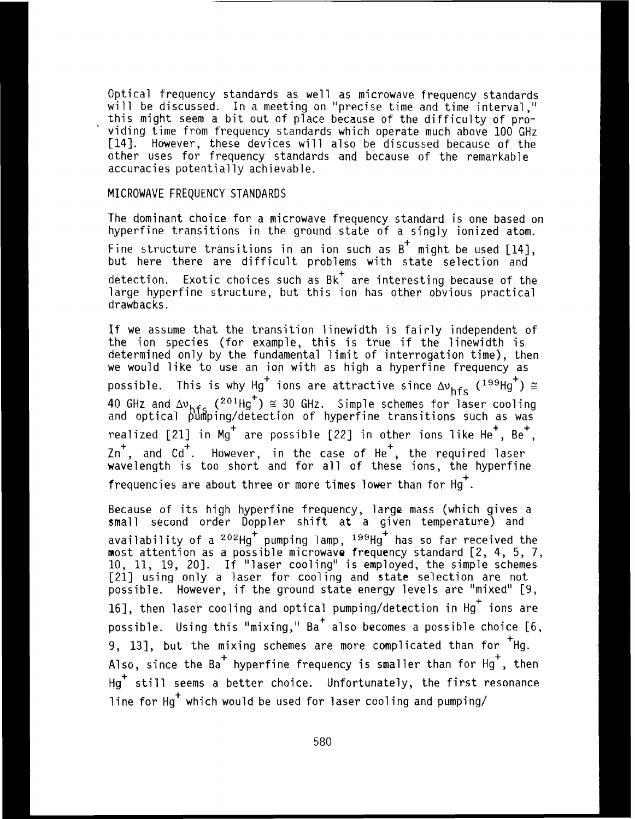Optical frequency standards as well as microwave frequency standards will be discussed. In a meeting on "precise time and time interval,"<br>this might seem a bit out of place because of the difficulty of providing time from frequency standards which operate much above 100 GHz **1141.** However, these devices will also be discussed because of the other uses for frequency standards and because of the remarkable accuracies potentially achievable.

# **MICROWAVE** FREQUENCY STANDARDS

The dominant choice for a microwave frequency standard is one based on hyperfine transitions in the ground state of a singly ionized atom. Fine structure transitions in an ion such as **B+** might be used [14], but here there are difficult problems with state selection and detection. Exotic choices such as  $Bk^+$  are interesting because of the large hyperfine structure, but this ion has other obvious practical drawbacks.

If we assume that the transition linewidth is fairly independent of the ion species (for example, this is true if the linewidth is determined only by the fundamental 1 imit of interrogation time), then we would like to use an ion with as high a hyperfine frequency as the fon species (for example, this is true if the finewidth is<br>determined only by the fundamental limit of interrogation time), then<br>we would like to use an ion with as high a hyperfine frequency as<br>possible. This is why 40 GHz and ∆v<sub>hfc</sub> (<sup>201</sup>Hg˙) ≅ 30 GHz. Simple schemes for laser cooling and optical  $\frac{1}{2}$ um $\frac{1}{2}$ ing/detection of hyperfine transitions such as was realized  $[21]$  in Mg<sup>+</sup> are possible  $[22]$  in other ions like He<sup>+</sup>, Be<sup>+</sup>,  $\text{Zn}^+$ , and Cd<sup>+</sup>. However, in the case of He<sup>+</sup>, the required laser wavelength is too short and for all of these ions, the hyperfine frequencies are about three or more times lower than for Hg<sup>+</sup>.

Because of its high hyperfine frequency, large mass (which gives a small second order Doppler shift at a given temperature) and availability of a <sup>202</sup>Hg pumping lamp, <sup>199</sup>Hg has so far received the most attention as a possible microwave frequency standard [Z, 4, 5, 7, 10, **11,** 19, 201. If "laser cooling" is employed, the simple schemes 1211 using only a laser for cooling and state selection are not possible. However, if the ground state energy levels are "mixed" [9, 16], then laser cooling and optical pumping/detection in Hg<sup>+</sup> ions are possible. Using this "mixing," Ba<sup>+</sup> also becomes a possible choice [6, possible. Using this "mixing,"  $Ba^+$  also becomes a possible choice [6, 9, 13], but the mixing schemes are more complicated than for  $Hg$ . Also, since the Ba<sup>+</sup> hyperfine frequency is smaller than for  $Hg^+$ , then  $Hg^+$  still seems a better choice. Unfortunately, the first resonance line for H $_{\rm q}^{+}$  which would be used for laser cooling and pumping/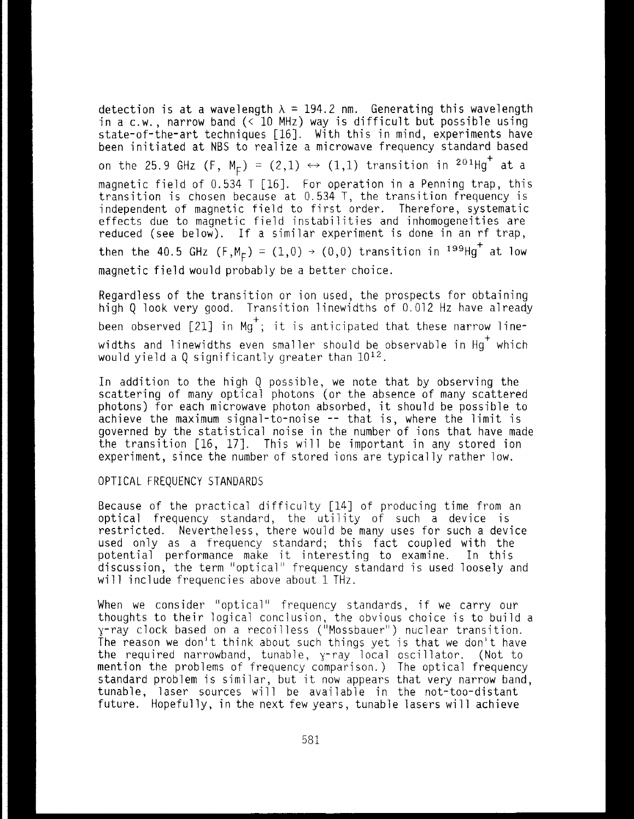detection is at a wavelength  $\lambda = 194.2$  nm. Generating this wavelength in a c.w., narrow band  $\langle$  10 MHz) way is difficult but possible using state-of-the-art techniques [16]. With this in mind, experiments have been initiated at NBS to realize a microwave frequency standard based on the 25.9 GHz  $(F, M_F) = (2,1) \leftrightarrow (1,1)$  transition in  $2^{0.1}Hg^+$  at a magnetic field of 0.534 T [16]. For operation in a Penning trap, this transition is chosen because at 0.534 T, the transition frequency is independent of magnetic field to first order. Therefore, systematic effects due to magnetic field instabilities and inhomogeneities are reduced (see below). If a similar experiment is done in an rf trap, then the 40.5 GHz  $(F, M_F) = (1,0) \rightarrow (0,0)$  transition in <sup>199</sup>Hg<sup>+</sup> at low magnetic field would probably be a better choice

Regardless of the transition or ion used, the prospects for obtaining high Q look very good. Transition linewidths of 0.012 Hz have already been observed [21] in Mg<sup>+</sup>; it is anticipated that these narrow linewidths and linewidths even smaller should be observable in  $Hg^+$  which would yield a Q significantly greater than  $10^{12}$ .

In addition to the high **Q** possible, we note that by observing the scattering of many optical photons (or the absence of many scattered photons) for each microwave photon absorbed, it should be possible to achieve the maximum signal-to-noise -- that is, where the limit is governed by the statistical noise in the number of ions that have made the transition [16, 171. This will be important in any stored ion experiment, since the number of stored ions are typically rather low.

#### OPTICAL FREQUENCY STANDARDS

Because of the practical difficulty [14] of producing time from an optical frequency standard, the utility of such a device is restricted, Nevertheless, there would be many uses for such a device used only as a frequency standard; this fact coupled with the potential performance make it interesting to examine. In this discussion, the term "optical" frequency standard is used loosely and will include frequencies above about 1 THz.

When we consider "optical" frequency standards, if we carry our thoughts to their logical conclusion, the obvious choice is to build a y-ray clock based on a recoi 1 less ("Mossbauer") nuclear transition. The reason we don't think about such things yet is that we don't have the required narrowband, tunable, y-ray local oscillator. (Not to mention the problems of frequency comparison.) The optical frequency standard problem is similar, but it now appears that very narrow band, tunable, laser sources will be available in the not-too-distant future. Hopefully, in the next few years, tunable lasers will achieve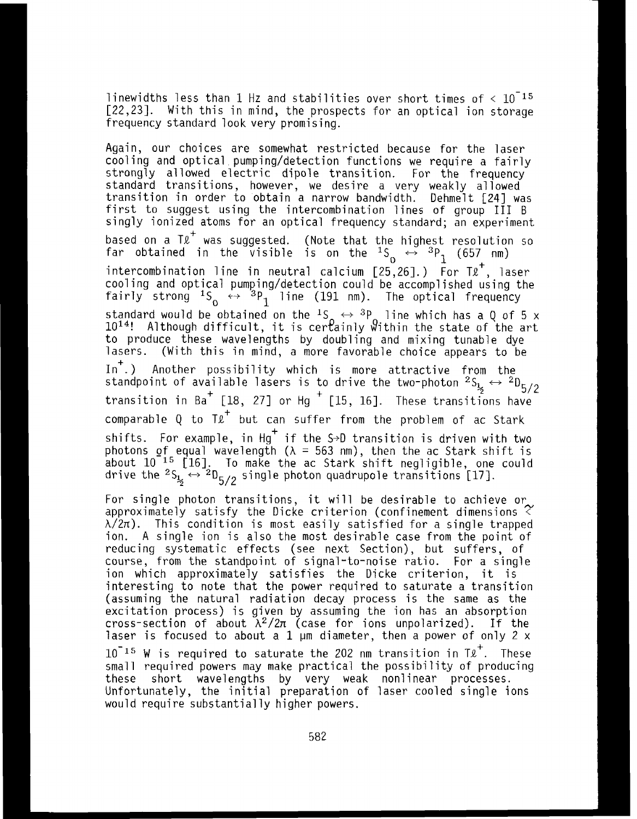linewidths less than 1 Hz and stabilities over short times of  $\leq 10^{-15}$ [22,23]. With this in mind, the prospects for an optical ion storage frequency standard look very promising.

Again, our choices are somewhat restricted because for the laser cooling and optical pumping/detection functions we require a fairly strongly allowed electric dipole transition. For the frequency standard transitions, however, we desire a very weakly allowed transition in order to obtain a narrow bandwidth. Dehmelt [24] was first to suggest using the intercombination lines of group III B singly ionized atoms for an optical frequency standard; an experiment based on a Tℓ was suggested. (Note that the highest resolution so<br>far obtained in the visible is on the <sup>1</sup>S ↔ <sup>3</sup>P<sub>1</sub> (657 nm) intercombination line in neutral calcium  $[25,26]$ .) For  $T\ell^+$ , laser intercombination line in neutral calcium [25,26].) For T£<sup>+</sup>, laser<br>cooling and optical pumping/detection could be accomplished using the fairly strong  $^{15}$   $\leftrightarrow$   $^{3}$ P<sub>1</sub> line (191 nm). The optical frequency<br>standard would be obtained on the <sup>1</sup>S  $\leftrightarrow$  <sup>3</sup>P line which has a Q of 5 x<br>1014: Although difficulty it is can exigle <sup>0</sup>ithic the state of the set standard would be obtained on the <sup>1</sup>S  $\leftrightarrow$  <sup>3</sup>P line which has a Q of 5 x 10<sup>14</sup>! Although difficult, it is certainly Within the state of the art to produce these wavelengths by doubling and mixing tunable dye lasers. (With this in mind, a more favorable choice appears to be In .) Another possibility which is more attractive from the In .) Another possibility which is more attractive from the standpoint of available lasers is to drive the two-photon  $^2\text{S}_{\frac{1}{2}} \leftrightarrow \frac{2\text{D}_{5/2}}{2}$ transition in Ba<sup>+</sup> [18, 27] or Hg<sup>+</sup> [15, 16]. These transitions have comparable Q to  $T\ell^+$  but can suffer from the problem of ac Stark shifts. For example, in Hg $^+$  if the S→D transition is driven with two photons <code>of\_equal</code> wavelength ( $\lambda$  = 563 nm), then the ac Stark shift is about 10 **l5** [XI. TO make the ac Stark shift negligible, one could drive the  $^2$ S<sub>12</sub>  $\leftrightarrow$   $^2$ D<sub>5/2</sub> single photon quadrupole transitions [17].

For single photon transitions, it will be desirable to achieve or approximately satisfy the Dicke criterion (confinement dimensions <  $\lambda/2\pi$ ). This condition is most easily satisfied for a single trapped ion. A single ion is also the most desirable case from the point of reducing systematic effects (see next Section), but suffers, of course, from the standpoint of signal-to-noise ratio. For a single ion which approximately satisfies the Dicke criterion, it is interesting to note that the power required to saturate a transition (assuming the natural radiation decay process is the same as the excitation process) is given by assuming the ion has an absorption cross-section of about *h2/2rr* (case for ions unpolarized). If the laser is focused to about a  $1 \mu$ m diameter, then a power of only  $2 \times$  $10^{-15}$  W is required to saturate the 202 nm transition in T $\ell^+$ . These<br>small required powers may make practical the possibility of producing<br>these short convelenting the name week realized processes these short wavelengths by very weak nonlinear processes. Unfortunately, the initial preparation of laser cooled single ions would require substantially higher powers.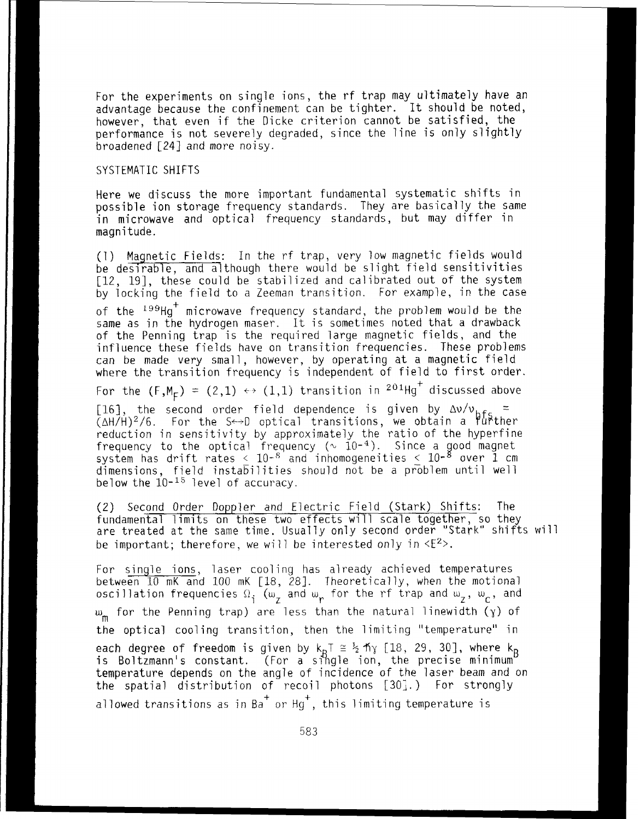For the experiments on single ions, the rf trap may ultimately have an advantage because the confinement can be tighter, It should be noted, however, that even if the Dicke criterion cannot be satisfied, the performance is not severely degraded, since the line is only slightly broadened [24] and more noisy.

### SYSTEMATIC SHIFTS

Here we discuss the more important fundamental systematic shifts in possible ion storage frequency standards. They are basical ly the same in microwave and optical frequency standards, but may differ in magnitude.

(1) Magnetic Fields: In the rf trap, very low magnetic fields would be desirable, and although there would be slight field sensitivities [12, 19], these could be stabilized and calibrated out of the system by locking the field to a Zeeman transition. For example, in the case

of the '<sup>99</sup>Hg' microwave frequency standard, the problem would be the same as in the hydrogen maser. It is sometimes noted that a drawback of the Penning trap is the required large magnetic fields, and the influence these fields have on transition frequencies. These problems can be made very small , however, by operating at a magnetic field where the transition frequency is i ndependent of field to first order.

For the  $(F,M_F) = (2,1) \leftrightarrow (1,1)$  transition in  $2^{01}Hg^+$  discussed above

[16], the second order field dependence is given by  $\Delta v/v_{\rm hfs}$  = **(AH/H)~/~.** For the S-D cptical transitions, we obtain a PuPther reduction in sensitivity by approximately the ratio of the hyperfine frequency to the optical frequency (~ 10-<sup>4</sup>). Since a good magnet<br>system has drift rates < 10-<sup>8</sup> and inhomogeneities < 10-<sup>8</sup> over 1 cm dimensions, field instabilities should not be a problem until well below the  $10^{-15}$  level of accuracy.

(2) Second Order Doppler and Electric Field (Stark) Shifts: The fundamental limits on these two effects will scale together, so they are treated at the same time. Usually only second order "Stark" shifts will be important; therefore, we will be interested only in  $\langle E^2 \rangle$ .

For single ions, laser cooling has already achieved temperatures between 10 mK and 100 mK [18, 281. Theoretically, when the motional  $\sum_{i=1}^{\infty}$  oscillation frequencies  $\Omega_i$  ( $\omega_Z$  and  $\omega_T$  for the rf trap and  $\omega_Z$ ,  $\omega_C$ , and w<sub>m</sub> for the Penning trap) are less than the natural linewidth (y) of the optical cooling transition, then the limiting "temperature" in ea<mark>ch degree of freedom i</mark>s given by k<sub>R</sub>T ≅ ½ fiγ [18, 29, 30], where k<sub>R</sub> is Boltzmann's constant. (For a single ion, the precise minimum<sup>e</sup> temperature depends on the angle of incidence of the laser beam and on the spatial distribution of recoil photons  $[30]$ .) For strongly allowed transitions as in Ba<sup>+</sup> or Hg<sup>+</sup>, this limiting temperature is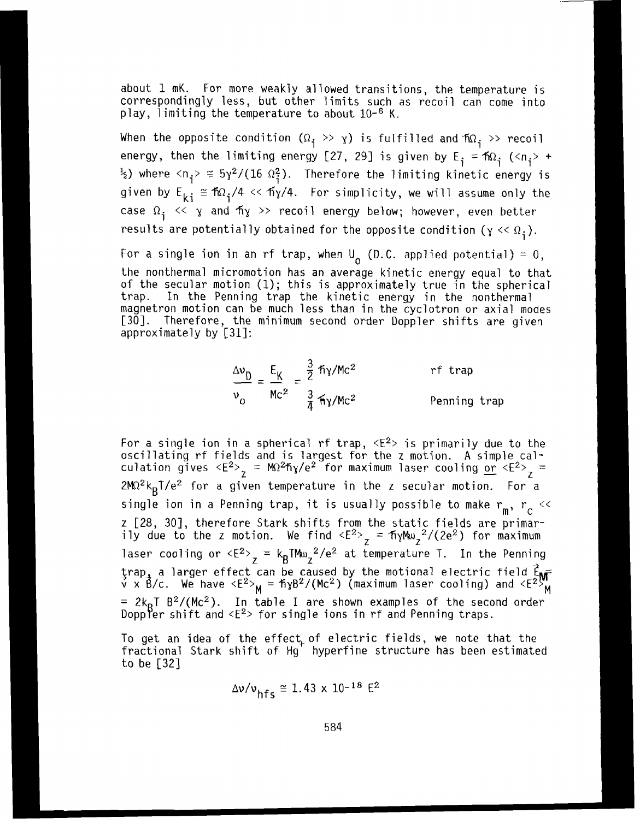about 1 mK. For more weakly allowed transitions, the temperature is correspondingly less, but other limits such as recoil can come into play, limiting the temperature to about 10-<sup>6</sup> K.

When the opposite condition  $(\Omega_i \gg \gamma)$  is fulfilled and  $f_{\Omega_i} \gg$  recoil energy, then the limiting energy [27, 29] is given by  $E_j = \hbar \Omega_j$  (<n<sub>j</sub>> +  $\frac{1}{2}$ ) where  $\langle n_i \rangle \approx 5\gamma^2/(16 \Omega_i^2)$ . Therefore the limiting kinetic energy is given by  $E_{ki} \cong \frac{\pi Q_i}{4} \ll \frac{\pi N}{4}$ . For simplicity, we will assume only the case  $\Omega_i \ll \gamma$  and  $\hbox{fly} \gg$  recoil energy below; however, even better results are potentially obtained for the opposite condition ( $\gamma \ll \Omega_i$ ).

For a single ion in an rf trap, when  $U_0$  (D.C. applied potential) = 0, the nonthermal micromotion has an average kinetic energy equal to that of the secular motion (1); this is approximately true in the spherical trap. In the Penning trap the kinetic energy in the nonthermal magnetron motion can be much less than in the cyclotron or axial modes [30]. Therefore, the minimum second order Doppler shifts are given approximately by [31]:

$$
\frac{\Delta v_{\text{D}}}{v_{\text{O}}} = \frac{E_{\text{K}}}{Mc^2} = \frac{\frac{3}{2} \pi \gamma / Mc^2}{\frac{3}{4} \pi \gamma / Mc^2}
$$
 *ref trap*  
Penning trap

For a single ion in a spherical rf trap,  $\langle E^2 \rangle$  is primarily due to the oscillating rf fields and is largest for the z motion. A simple calculation gives  $\langle E^{2}\rangle_{_{\cal T}}=M\Omega^{2}$ ñy/e $^{2}$  for maximum laser cooling or  $\langle E^{2}\rangle_{_{\cal T}}=1$  $2M\Omega^2 k_B T/e^2$  for a given temperature in the z secular motion. For a single ion in a Penning trap, it is usually possible to make  $r_m$ ,  $r_c \ll$ z 128, 301, therefore Stark shifts from the static fields are primarily due to the z motion. We find  $\langle E^2 \rangle$  = fiyMw,  $\langle 2e^2 \rangle$  for maximum laser cooling or  $\langle E^2 \rangle$  = kgTMw<sub>Z</sub><sup>2</sup>/e<sup>2</sup> at temperature T. In the Penning  $\frac{z}{\sqrt{2}}$  a larger effect can be caused by the motional electric field  $\frac{z}{\sqrt{2}}$  $\acute{\rm v}$  x B/c. We have <E<sup>2</sup>> $_{\rm M}$  = fiyB<sup>2</sup>/(Mc<sup>2</sup>) (maximum laser cooling) and <E<sup>25</sup>,  $= 2k_B T B^2/(Mc^2)$ . In table I are shown examples of the second order Doppler shift and  $\langle E^2 \rangle$  for single ions in rf and Penning traps.

To get an idea of the effect, of electric fields, we note that the fractional Stark shift of Hg hyperfine structure has been estimated to be **[32]** 

$$
\Delta v/v_{\text{hfc}} \cong 1.43 \times 10^{-18} \text{ E}^2
$$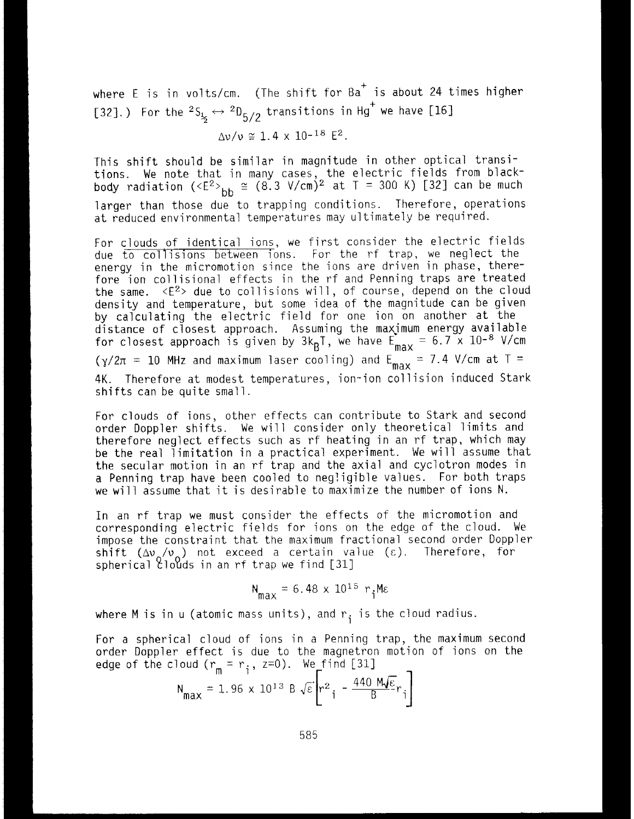where  $E$  is in volts/cm. (The shift for  $Ba<sup>+</sup>$  is about 24 times higher [32].) For the  ${}^{2}S_{\frac{1}{25}} \leftrightarrow {}^{2}D_{\frac{5}{2}}$  transitions in Hg<sup>+</sup> we have [16]

$$
\Delta v/v \approx 1.4 \times 10^{-18} \text{ E}^2
$$
.

This shift should be similar in magnitude in other optical transitions. We note that in many cases, the electric fields from blackody radiation (<E<sup>2</sup>><sub>bb</sub> ≅ (8.3 V/cm)<sup>2</sup> at T = 300 K) [32] can be much larger than those due to trapping conditions. Therefore, operations at reduced environmental temperatures may ultimately be required.

For clouds of identical ions, we first consider the electric fields due to collisions between ions. For the rf trap, we neglect the inergy in the micromotion since the ions are driven in phase, there-<br>fore ion collisional effects in the rf and Penning traps are treated<br>the same.  $\langle E^2 \rangle$  due to collisions will, of course, depend on the cloud density and temperature, but some idea of the magnitude can be given by calculating the electric field for one ion on another at the listance of closest approach. Assuming the maximum energy available for closest approach is given by 3k<sub>p</sub>T, we have  $\mathsf{E_{max}}$  = 6.7 x 10-<sup>8</sup> V/cm ( $\gamma/2\pi$  = 10 MHz and maximum laser cooling) and E<sub>max</sub> = 7.4 V/cm at T = 4K. Therefore at modest temperatures, ion-ion collision induced Stark shifts can be quite small.

For clouds of ions, other effects can contribute to Stark and second order Doppler shifts. We will consider only theoretical limits and therefore neglect effects such as rf heating in an rf trap, which may be the real limitation in a practical experiment. We will assume that the secular motion in an rf trap and the axial and cyclotron modes in a Penning trap have been cooled to negligible values. For both traps we will assume that it is desirable to maximize the number of ions N.

In an rf trap we must consider the effects of the micromotion and corresponding electric fields for ions on the edge of the cloud. We impose the constraint that the maximum fractional second order Doppler  $\int$ shift  $(\Delta v_{\alpha}/v_{\alpha})$  not exceed a certain value (c). Therefore, for spherical  $2100d$ s in an rf trap we find  $[31]$ 

$$
N_{\text{max}} = 6.48 \times 10^{15} \text{ r}_{\text{i}} \text{Me}
$$

where M is in  $u$  (atomic mass units), and  $r_i$  is the cloud radius.

For a spherical cloud of ions in a Penning trap, the maximum second order Doppler effect is due to the magnetron motion of ions on the edge of the cloud  $(r_m = r_i, z=0)$ . We find [31]

$$
N_{\text{max}} = 1.96 \times 10^{13} B \sqrt{\epsilon} \left[ r^2 \frac{440 M \sqrt{\epsilon}}{B} r_i \right]
$$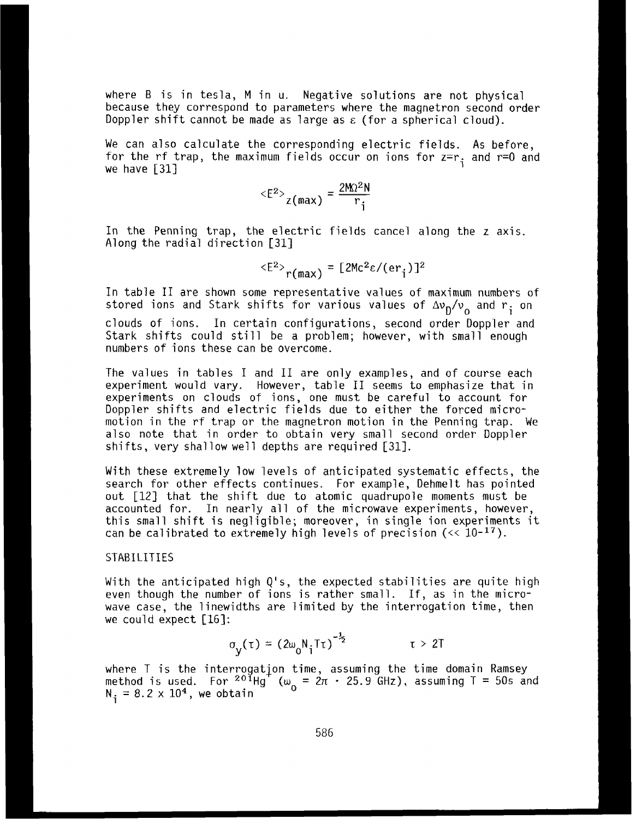where B is in tesla, M in u. Negative solutions are not physical because they correspond to parameters where the magnetron second order Doppler shift cannot be made as large as **E** (for a spherical cloud).

We can also calculate the corresponding electric fields. As before, for the rf trap, the maximum fields occur on ions for  $z=r_{\rm i}$  and  $r=0$  and we have **[31] <sup>1</sup>**

$$
\langle E^2 \rangle_{\text{Z}(\text{max})} = \frac{2M\Omega^2N}{r_i}
$$

In the Penning trap, the electric fields cancel along the z axis. Along the radial direction **[31]** 

$$
\langle E^2 \rangle_{r(max)} = [2Mc^2\varepsilon/(er_i)]^2
$$

In table I1 are shown some representative values of maximum numbers of stored ions and Stark shifts for various values of  $\Delta v_{\rm D}/v_{\rm o}$  and  $r_{\rm i}$  on clouds of ions. In certain configurations, second order Doppler and Stark shifts could still be a problem; however, with small enough numbers of ions these can be overcome.

The values in tables I and I1 are only examples, and of course each experiment would vary. However, table I1 seems to emphasize that in experiments on clouds of ions, one must be careful to account for Doppler shifts and electric fields due to either the forced micromotion in the rf trap or the magnetron motion in the Penning trap. We also note that in order to obtain very small second order Doppler shifts, very shallow well depths are required [31].

With these extremely low levels of anticipated systematic effects, the search for other effects continues. For example, Dehmelt has pointed out **[12]** that the shift due to atomic quadrupole moments must be accounted for. In nearly all of the microwave experiments, however, this small shift is negligible; moreover, in single ion experiments it can be calibrated to extremely high levels of precision (<< **10-17).** 

## **STABILITIES**

With the anticipated high Q's, the expected stabilities are quite high even though the number of ions is rather small. If, as in the microwave case, the linewidths are limited by the interrogation time, then we could expect **[161:** 

$$
\sigma_{\mathsf{y}}(\tau) = (2\omega_0 \mathsf{N}_1 \mathsf{T} \tau)^{-\frac{1}{2}} \qquad \qquad \tau > 2\mathsf{T}
$$

where T is the interrogation time, assuming the time domain Ramsey<br>method is used. For <sup>201</sup>Hg (ω<sub>ρ</sub> = 2π · 25.9 GHz), assuming T = 50s and  $N_3 = 8.2 \times 10^4$ , we obtain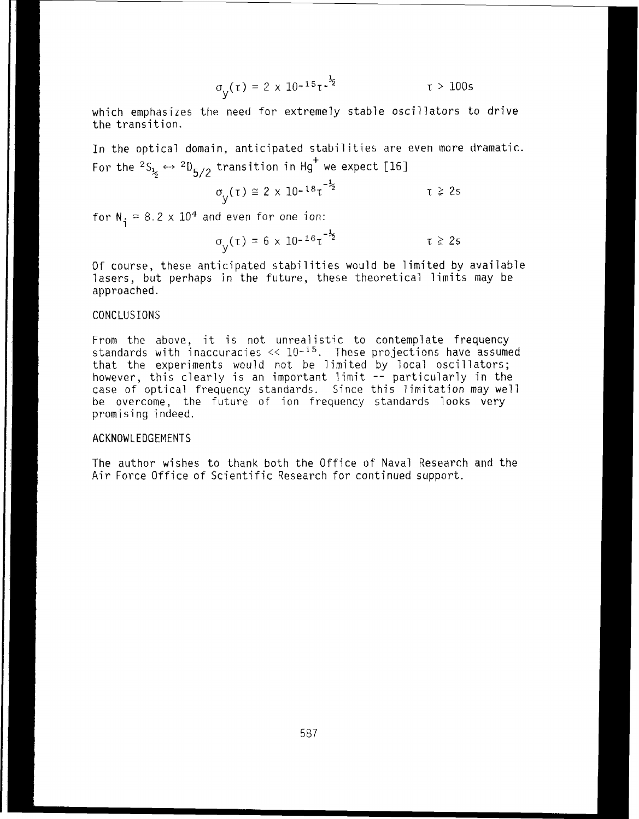$$
\sigma_{y}(\tau) = 2 \times 10^{-15} \tau^{-\frac{1}{2}} \qquad \qquad \tau > 100s
$$

which emphasizes the need for extremely stable oscillators to drive the transition.

In the optical domain. anticipated stabilities are even more dramatic. For the  $^2\text{S}_{\frac{1}{2}} \leftrightarrow \ ^2\text{D}_{5/2}$  transition in Hg $^+$  we expect [1

$$
\sigma_{V}(\tau) \cong 2 \times 10^{-18} \tau^{-\frac{1}{2}} \qquad \qquad \tau \geq 2s
$$

for  $N_i = 8.2 \times 10^4$  and even for one ion:

$$
\sigma_{V}(\tau) = 6 \times 10^{-16} \tau^{-\frac{1}{2}} \qquad \qquad \tau \geq 2s
$$

Of course, these anticipated stabilities would be limited by available lasers, but perhaps in the future, these theoretical limits may be approached.

## CONCLUSIONS

From the above, it is not unrealistic to contemplate frequency standards with inaccuracies  $\ll 10^{-15}$ . These projections have assumed that the experiments would not be limited by local oscillators; however, this clearly is an important limit -- particularly in the<br>case of optical frequency standards. Since this limitation may well case of optical frequency standards. Since this limitation may well be overcome, the future of ion frequency standards looks very promising indeed.

### ACKNOWLEDGEMENTS

The author wishes to thank both the Office of Naval Research and the Air Force Office of Scientific Research for continued suppart.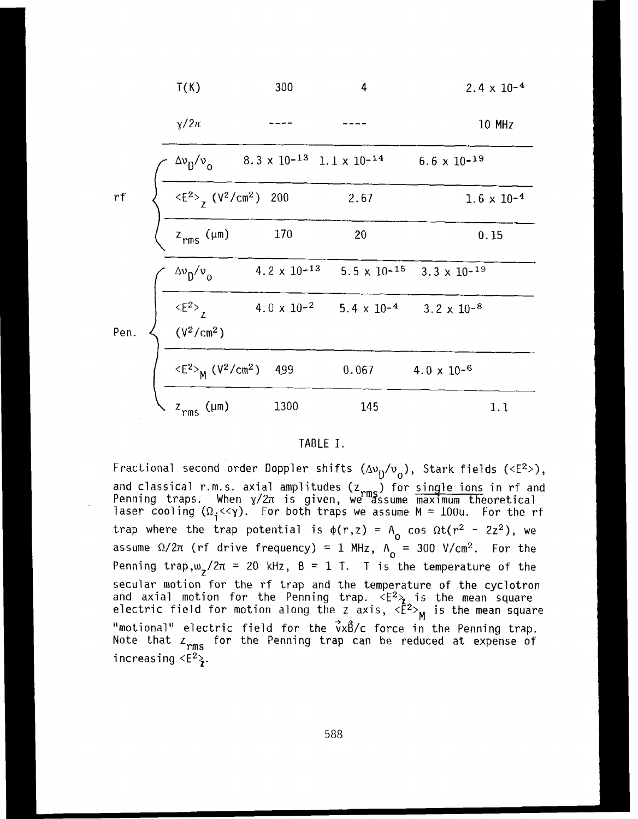|      | T(K)                                                                      | 300                                                  | 4                                                              |                       | $2.4 \times 10^{-4}$ |
|------|---------------------------------------------------------------------------|------------------------------------------------------|----------------------------------------------------------------|-----------------------|----------------------|
|      | $\gamma/2\pi$                                                             |                                                      |                                                                |                       | <b>10 MHz</b>        |
|      | $\Delta v_0/v_0$                                                          | $8.3 \times 10^{-13}$ 1.1 $\times$ 10 <sup>-14</sup> |                                                                | $6.6 \times 10^{-19}$ |                      |
| rf   | $\langle E^2 \rangle$ (V <sup>2</sup> /cm <sup>2</sup> ) 200              |                                                      | 2.67                                                           |                       | $1.6 \times 10^{-4}$ |
|      | $z_{rms}$ (µm)                                                            | 170                                                  | 20                                                             |                       | 0.15                 |
|      | $\Delta v_0/v_0$                                                          | 4.2 $\times$ 10- <sup>13</sup>                       | $5.5 \times 10^{-15}$ $3.3 \times 10^{-19}$                    |                       |                      |
| Pen. | $\frac{2}{z}$<br>(V <sup>2</sup> /cm <sup>2</sup> )                       |                                                      | $4.0 \times 10^{-2}$ $5.4 \times 10^{-4}$ $3.2 \times 10^{-8}$ |                       |                      |
|      | $\langle E^2 \rangle$ <sub>M</sub> (V <sup>2</sup> /cm <sup>2</sup> ) 499 |                                                      | 0.067                                                          | $4.0 \times 10^{-6}$  |                      |
|      | $z$ <sub>rms</sub> ( $\mu$ m)                                             | 1300                                                 | 145                                                            |                       | 1.1                  |

#### TABLE I.

Fractional second order Doppler shifts  $(\Delta v_{D}/v_{o})$ , Stark fields (<E<sup>2</sup>>), and classical r.m.s. axial amplitudes ( $z_{\rm rms}$ ) for single ions in rf and enning traps. When  $\chi/2\pi$  is given, we "assume maximum theoretical aser cooling  $(\Omega_i \ll y)$ . For both traps we assume  $M = 100u$ . For the rf trap where the trap potential is  $\phi(r,z) = A_0 \cos \Omega t (r^2 - 2z^2)$ , we assume  $\Omega/2\pi$  (rf drive frequency) = 1 MHz,  $A_0$  = 300 V/cm<sup>2</sup>. For the Penning trap, $w_7/2\pi = 20$  kHz,  $B = 1$  T. T is the temperature of the secular motion for the rf trap and the temperature of the cyclotron ind axial motion for the Penning trap.  $\langle E^2 \rangle$  is the mean square lectric field for motion along the z axis,  ${ }_{\mathsf{M}}$ "motional" electric field for the  $\vec{v}x\vec{B}/c$  force in the Penning trap. Note that  $z_{rms}$  for the Penning trap can be reduced at expense of increasing  $\langle E^2 \rangle$ .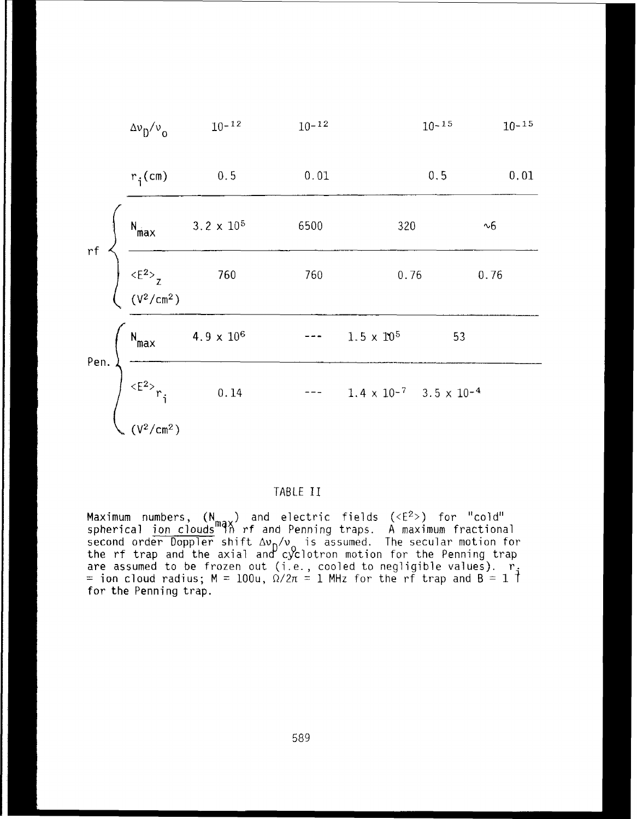| $\Delta v_{\rm p}/v_{\rm o}$                                                                                                                                                           | $10 - 12$                    | $10 - 12$ | $10 - 15$         | $10 - 15$                       |  |
|----------------------------------------------------------------------------------------------------------------------------------------------------------------------------------------|------------------------------|-----------|-------------------|---------------------------------|--|
| $r_i$ (cm)                                                                                                                                                                             | 0.5                          | 0.01      | 0.5               | 0.01                            |  |
|                                                                                                                                                                                        | $3.2 \times 10^5$            | 6500      | 320               | $\sim\!6$                       |  |
| rf<br>$\begin{matrix}\nN_{\text{max}} & 3.2 \times 10 \\ \hline\n\langle E^2 \rangle_z & 760 \\ \langle V^2/\text{cm}^2 \rangle\n\end{matrix}$                                         |                              | 760       | 0.76              | 0.76                            |  |
|                                                                                                                                                                                        | 4.9 $\times$ 10 <sup>6</sup> |           | $1.5 \times 10^5$ | 53                              |  |
| Pen. $\left\{\n\begin{array}{ccc}\nN_{\text{max}} & 4.9 \times 10 \\ \hline\n\end{array}\n\right\}$<br>$\left\{\n\begin{array}{ccc}\n\text{R} & 0.14 \\ \hline\n\end{array}\n\right\}$ | 0.14                         |           |                   | $1.4 \times 10^{-7}$ 3.5 x 10-4 |  |
| $(V^2/cm^2)$                                                                                                                                                                           |                              |           |                   |                                 |  |

# TABLE I1

Maximum numbers,  $(N_{max})$  and electric fields (<E<sup>2</sup>>) for "cold" spherical ion clouds 9% **rf and Penning** traps. A **maximum** fractional second order Doppler shift Δν<sub>η</sub>/ν<sub>ο</sub> is assumed. The secular motion for the rf trap and the axial and cyclotron motion for the Penning trap<br>are assumed to be frozen out (i.e., cooled to negligible values). r<br>= ion cloud radius; M = 100u,  $\Omega/2\pi$  = 1 MHz for the rf trap and B = 1 T for **the** Penning trap.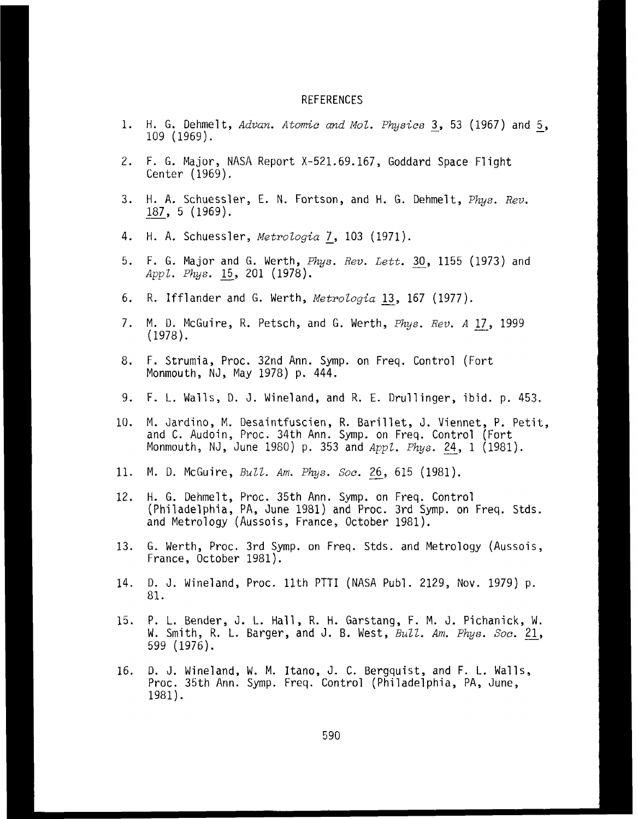#### REFERENCES

- 1. H. G. Dehmelt, *Advan. Atomic and Mol. Physics* 3, 53 (1967) and 5, 109 (1969).
- 2. F, G. Major, NASA Report X-521.69.167, Goddard Space Flight Center (1969).
- 3. H. A, Schuessler, E. N. Fortson, and H. G. Dehmelt, *Phys.* Rev. r. G. Major, M.<br>Center (1969).<br>H. A. Schuessle<br>187, 5 (1969).
- 4. H. A. Schuessler, *Metrologia* 7, 103 (1971).
- 5. F. G. Major and G. Werth, *Phys. Rev. Lett.* 30, 1155 (1973) and *AppZ. Phys.* 201 (1978).
- 6. K. Ifflander and G. Werth, *MetroZoyia*  13, 167 (1977).
- 7. M. D. McGuire, R. Petsch, and G. Werth, *Phys. Rev. A* 17, 1999 (1978).
- 8. F. Strumia, Proc. 32nd Ann. Symp. on Freq. Control (Fort Monmouth, NJ, May 1978) p. 444.
- 9. F. L. Walls, D. J. Wineland, and R. E. Drullinger, **ibid.** p. 453.
- 10. M. Jardino, M. Desaintfuscien, R, Barillet, J. Viennet, P. Petit, and C. Audoin, Proc. 34th Ann. Symp. on Freq. Control (Fort M. Jardino, M. Desaintfuscien, R. Barillet, J. Viennet, P. Pet<br>and C. Audoin, Proc. 34th Ann. Symp. on Freq. Control (Fort<br>Monmouth, NJ, June 1980) p. 353 and *Appl. Phys.* <u>24</u>, 1 (1981). and C. Addorn, Proc. 34th Am. *Symp.* on Freq. control.<br>Monmouth, NJ, June 1980) p. 353 and *Appl. Phys.* 24,<br>11. M. D. McGuire, *Bull. Am. Phys. Soc.* 26, 615 (1981).
- 
- 12. H. G. Dehrnelt, Proc. 35th Ann. Symp. on Freq. Control (Philadelphia, PA, June 1981) and Proc. 3rd Symp. on Freq. Stds. and Metrology (Aussois, France, October 1981).
- 13. G. Werth, Proc. 3rd Symp. on Freq. Stds. and Metrology (Aussois, France, October 1981).
- 14. D. J. Wineland, Proc. 11th PTTI (NASA Publ. 2129, Nov. 1979) p. 81.
- 15. P. L. Bender, J. L. Hall, R. H. Garstang, F. M. J. Pichanick, W. W. Smith, R. L. Barger, and J. B. West, *Bull. Am. Phys. Soc.* 21, 599 (1976).
- 16. D. J. Wineland, W. M. Itano, J. C. Bergquist, and F. L. Walls, Proc. 35th Ann. Symp. Freq. Control (Philadelphia, PA, June, 1981).